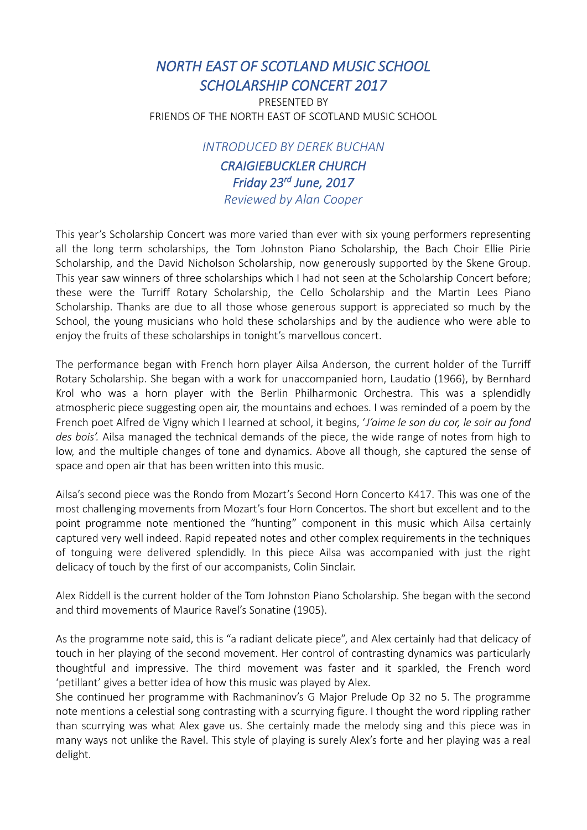## *NORTH EAST OF SCOTLAND MUSIC SCHOOL SCHOLARSHIP CONCERT 2017*

PRESENTED BY FRIENDS OF THE NORTH EAST OF SCOTLAND MUSIC SCHOOL

*INTRODUCED BY DEREK BUCHAN*

*CRAIGIEBUCKLER CHURCH Friday 23rd June, 2017 Reviewed by Alan Cooper*

This year's Scholarship Concert was more varied than ever with six young performers representing all the long term scholarships, the Tom Johnston Piano Scholarship, the Bach Choir Ellie Pirie Scholarship, and the David Nicholson Scholarship, now generously supported by the Skene Group. This year saw winners of three scholarships which I had not seen at the Scholarship Concert before; these were the Turriff Rotary Scholarship, the Cello Scholarship and the Martin Lees Piano Scholarship. Thanks are due to all those whose generous support is appreciated so much by the School, the young musicians who hold these scholarships and by the audience who were able to enjoy the fruits of these scholarships in tonight's marvellous concert.

The performance began with French horn player Ailsa Anderson, the current holder of the Turriff Rotary Scholarship. She began with a work for unaccompanied horn, Laudatio (1966), by Bernhard Krol who was a horn player with the Berlin Philharmonic Orchestra. This was a splendidly atmospheric piece suggesting open air, the mountains and echoes. I was reminded of a poem by the French poet Alfred de Vigny which I learned at school, it begins, '*J'aime le son du cor, le soir au fond des bois'.* Ailsa managed the technical demands of the piece, the wide range of notes from high to low, and the multiple changes of tone and dynamics. Above all though, she captured the sense of space and open air that has been written into this music.

Ailsa's second piece was the Rondo from Mozart's Second Horn Concerto K417. This was one of the most challenging movements from Mozart's four Horn Concertos. The short but excellent and to the point programme note mentioned the "hunting" component in this music which Ailsa certainly captured very well indeed. Rapid repeated notes and other complex requirements in the techniques of tonguing were delivered splendidly. In this piece Ailsa was accompanied with just the right delicacy of touch by the first of our accompanists, Colin Sinclair.

Alex Riddell is the current holder of the Tom Johnston Piano Scholarship. She began with the second and third movements of Maurice Ravel's Sonatine (1905).

As the programme note said, this is "a radiant delicate piece", and Alex certainly had that delicacy of touch in her playing of the second movement. Her control of contrasting dynamics was particularly thoughtful and impressive. The third movement was faster and it sparkled, the French word 'petillant' gives a better idea of how this music was played by Alex.

She continued her programme with Rachmaninov's G Major Prelude Op 32 no 5. The programme note mentions a celestial song contrasting with a scurrying figure. I thought the word rippling rather than scurrying was what Alex gave us. She certainly made the melody sing and this piece was in many ways not unlike the Ravel. This style of playing is surely Alex's forte and her playing was a real delight.